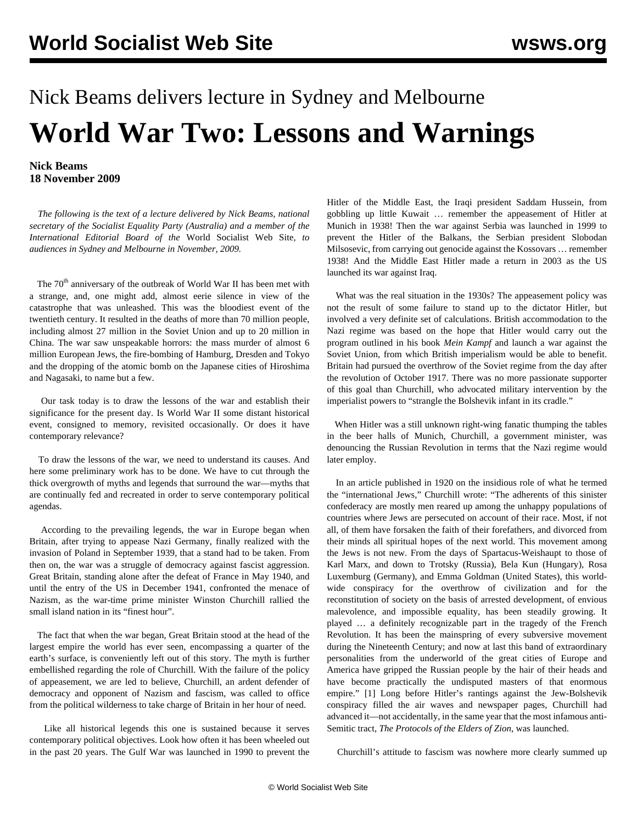## <span id="page-0-0"></span>Nick Beams delivers lecture in Sydney and Melbourne **World War Two: Lessons and Warnings**

## **Nick Beams 18 November 2009**

 *The following is the text of a lecture delivered by Nick Beams, national secretary of the Socialist Equality Party (Australia) and a member of the International Editorial Board of the* World Socialist Web Site*, to audiences in Sydney and Melbourne in November, 2009.*

The 70<sup>th</sup> anniversary of the outbreak of World War II has been met with a strange, and, one might add, almost eerie silence in view of the catastrophe that was unleashed. This was the bloodiest event of the twentieth century. It resulted in the deaths of more than 70 million people, including almost 27 million in the Soviet Union and up to 20 million in China. The war saw unspeakable horrors: the mass murder of almost 6 million European Jews, the fire-bombing of Hamburg, Dresden and Tokyo and the dropping of the atomic bomb on the Japanese cities of Hiroshima and Nagasaki, to name but a few.

 Our task today is to draw the lessons of the war and establish their significance for the present day. Is World War II some distant historical event, consigned to memory, revisited occasionally. Or does it have contemporary relevance?

 To draw the lessons of the war, we need to understand its causes. And here some preliminary work has to be done. We have to cut through the thick overgrowth of myths and legends that surround the war—myths that are continually fed and recreated in order to serve contemporary political agendas.

 According to the prevailing legends, the war in Europe began when Britain, after trying to appease Nazi Germany, finally realized with the invasion of Poland in September 1939, that a stand had to be taken. From then on, the war was a struggle of democracy against fascist aggression. Great Britain, standing alone after the defeat of France in May 1940, and until the entry of the US in December 1941, confronted the menace of Nazism, as the war-time prime minister Winston Churchill rallied the small island nation in its "finest hour".

 The fact that when the war began, Great Britain stood at the head of the largest empire the world has ever seen, encompassing a quarter of the earth's surface, is conveniently left out of this story. The myth is further embellished regarding the role of Churchill. With the failure of the policy of appeasement, we are led to believe, Churchill, an ardent defender of democracy and opponent of Nazism and fascism, was called to office from the political wilderness to take charge of Britain in her hour of need.

 Like all historical legends this one is sustained because it serves contemporary political objectives. Look how often it has been wheeled out in the past 20 years. The Gulf War was launched in 1990 to prevent the Hitler of the Middle East, the Iraqi president Saddam Hussein, from gobbling up little Kuwait … remember the appeasement of Hitler at Munich in 1938! Then the war against Serbia was launched in 1999 to prevent the Hitler of the Balkans, the Serbian president Slobodan Milsosevic, from carrying out genocide against the Kossovars … remember 1938! And the Middle East Hitler made a return in 2003 as the US launched its war against Iraq.

 What was the real situation in the 1930s? The appeasement policy was not the result of some failure to stand up to the dictator Hitler, but involved a very definite set of calculations. British accommodation to the Nazi regime was based on the hope that Hitler would carry out the program outlined in his book *Mein Kampf* and launch a war against the Soviet Union, from which British imperialism would be able to benefit. Britain had pursued the overthrow of the Soviet regime from the day after the revolution of October 1917. There was no more passionate supporter of this goal than Churchill, who advocated military intervention by the imperialist powers to "strangle the Bolshevik infant in its cradle."

 When Hitler was a still unknown right-wing fanatic thumping the tables in the beer halls of Munich, Churchill, a government minister, was denouncing the Russian Revolution in terms that the Nazi regime would later employ.

 In an article published in 1920 on the insidious role of what he termed the "international Jews," Churchill wrote: "The adherents of this sinister confederacy are mostly men reared up among the unhappy populations of countries where Jews are persecuted on account of their race. Most, if not all, of them have forsaken the faith of their forefathers, and divorced from their minds all spiritual hopes of the next world. This movement among the Jews is not new. From the days of Spartacus-Weishaupt to those of Karl Marx, and down to Trotsky (Russia), Bela Kun (Hungary), Rosa Luxemburg (Germany), and Emma Goldman (United States), this worldwide conspiracy for the overthrow of civilization and for the reconstitution of society on the basis of arrested development, of envious malevolence, and impossible equality, has been steadily growing. It played … a definitely recognizable part in the tragedy of the French Revolution. It has been the mainspring of every subversive movement during the Nineteenth Century; and now at last this band of extraordinary personalities from the underworld of the great cities of Europe and America have gripped the Russian people by the hair of their heads and have become practically the undisputed masters of that enormous empire." [\[1\]](#page-0-0) Long before Hitler's rantings against the Jew-Bolshevik conspiracy filled the air waves and newspaper pages, Churchill had advanced it—not accidentally, in the same year that the most infamous anti-Semitic tract, *The Protocols of the Elders of Zion*, was launched.

Churchill's attitude to fascism was nowhere more clearly summed up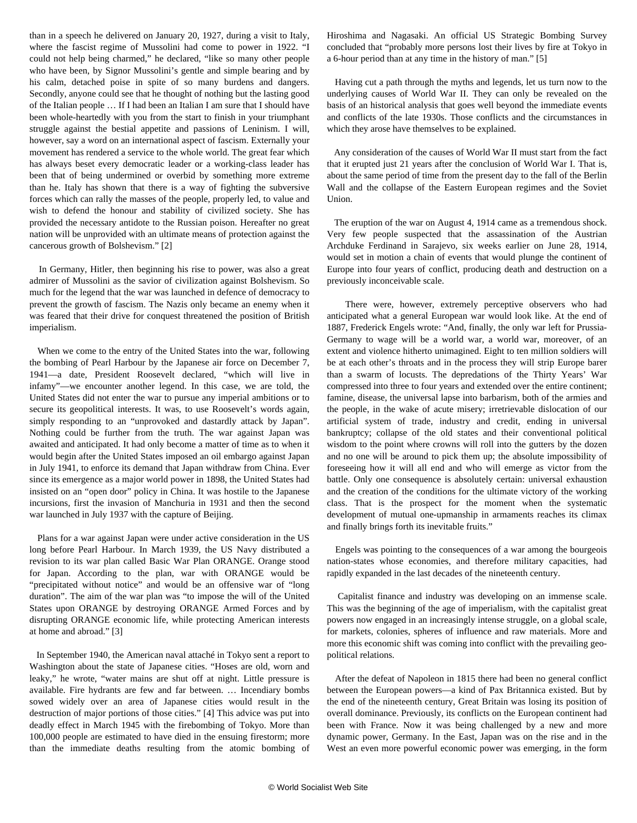<span id="page-1-0"></span>than in a speech he delivered on January 20, 1927, during a visit to Italy, where the fascist regime of Mussolini had come to power in 1922. "I could not help being charmed," he declared, "like so many other people who have been, by Signor Mussolini's gentle and simple bearing and by his calm, detached poise in spite of so many burdens and dangers. Secondly, anyone could see that he thought of nothing but the lasting good of the Italian people … If I had been an Italian I am sure that I should have been whole-heartedly with you from the start to finish in your triumphant struggle against the bestial appetite and passions of Leninism. I will, however, say a word on an international aspect of fascism. Externally your movement has rendered a service to the whole world. The great fear which has always beset every democratic leader or a working-class leader has been that of being undermined or overbid by something more extreme than he. Italy has shown that there is a way of fighting the subversive forces which can rally the masses of the people, properly led, to value and wish to defend the honour and stability of civilized society. She has provided the necessary antidote to the Russian poison. Hereafter no great nation will be unprovided with an ultimate means of protection against the cancerous growth of Bolshevism." [\[2\]](#page-1-0)

 In Germany, Hitler, then beginning his rise to power, was also a great admirer of Mussolini as the savior of civilization against Bolshevism. So much for the legend that the war was launched in defence of democracy to prevent the growth of fascism. The Nazis only became an enemy when it was feared that their drive for conquest threatened the position of British imperialism.

 When we come to the entry of the United States into the war, following the bombing of Pearl Harbour by the Japanese air force on December 7, 1941—a date, President Roosevelt declared, "which will live in infamy"—we encounter another legend. In this case, we are told, the United States did not enter the war to pursue any imperial ambitions or to secure its geopolitical interests. It was, to use Roosevelt's words again, simply responding to an "unprovoked and dastardly attack by Japan". Nothing could be further from the truth. The war against Japan was awaited and anticipated. It had only become a matter of time as to when it would begin after the United States imposed an oil embargo against Japan in July 1941, to enforce its demand that Japan withdraw from China. Ever since its emergence as a major world power in 1898, the United States had insisted on an "open door" policy in China. It was hostile to the Japanese incursions, first the invasion of Manchuria in 1931 and then the second war launched in July 1937 with the capture of Beijing.

 Plans for a war against Japan were under active consideration in the US long before Pearl Harbour. In March 1939, the US Navy distributed a revision to its war plan called Basic War Plan ORANGE. Orange stood for Japan. According to the plan, war with ORANGE would be "precipitated without notice" and would be an offensive war of "long duration". The aim of the war plan was "to impose the will of the United States upon ORANGE by destroying ORANGE Armed Forces and by disrupting ORANGE economic life, while protecting American interests at home and abroad." [[3](#page-2-0)]

 In September 1940, the American naval attaché in Tokyo sent a report to Washington about the state of Japanese cities. "Hoses are old, worn and leaky," he wrote, "water mains are shut off at night. Little pressure is available. Fire hydrants are few and far between. … Incendiary bombs sowed widely over an area of Japanese cities would result in the destruction of major portions of those cities." [[4](#page-3-0)] This advice was put into deadly effect in March 1945 with the firebombing of Tokyo. More than 100,000 people are estimated to have died in the ensuing firestorm; more than the immediate deaths resulting from the atomic bombing of Hiroshima and Nagasaki. An official US Strategic Bombing Survey concluded that "probably more persons lost their lives by fire at Tokyo in a 6-hour period than at any time in the history of man." [[5](#page-4-0)]

 Having cut a path through the myths and legends, let us turn now to the underlying causes of World War II. They can only be revealed on the basis of an historical analysis that goes well beyond the immediate events and conflicts of the late 1930s. Those conflicts and the circumstances in which they arose have themselves to be explained.

 Any consideration of the causes of World War II must start from the fact that it erupted just 21 years after the conclusion of World War I. That is, about the same period of time from the present day to the fall of the Berlin Wall and the collapse of the Eastern European regimes and the Soviet Union.

 The eruption of the war on August 4, 1914 came as a tremendous shock. Very few people suspected that the assassination of the Austrian Archduke Ferdinand in Sarajevo, six weeks earlier on June 28, 1914, would set in motion a chain of events that would plunge the continent of Europe into four years of conflict, producing death and destruction on a previously inconceivable scale.

 There were, however, extremely perceptive observers who had anticipated what a general European war would look like. At the end of 1887, Frederick Engels wrote: "And, finally, the only war left for Prussia-Germany to wage will be a world war, a world war, moreover, of an extent and violence hitherto unimagined. Eight to ten million soldiers will be at each other's throats and in the process they will strip Europe barer than a swarm of locusts. The depredations of the Thirty Years' War compressed into three to four years and extended over the entire continent; famine, disease, the universal lapse into barbarism, both of the armies and the people, in the wake of acute misery; irretrievable dislocation of our artificial system of trade, industry and credit, ending in universal bankruptcy; collapse of the old states and their conventional political wisdom to the point where crowns will roll into the gutters by the dozen and no one will be around to pick them up; the absolute impossibility of foreseeing how it will all end and who will emerge as victor from the battle. Only one consequence is absolutely certain: universal exhaustion and the creation of the conditions for the ultimate victory of the working class. That is the prospect for the moment when the systematic development of mutual one-upmanship in armaments reaches its climax and finally brings forth its inevitable fruits."

 Engels was pointing to the consequences of a war among the bourgeois nation-states whose economies, and therefore military capacities, had rapidly expanded in the last decades of the nineteenth century.

 Capitalist finance and industry was developing on an immense scale. This was the beginning of the age of imperialism, with the capitalist great powers now engaged in an increasingly intense struggle, on a global scale, for markets, colonies, spheres of influence and raw materials. More and more this economic shift was coming into conflict with the prevailing geopolitical relations.

 After the defeat of Napoleon in 1815 there had been no general conflict between the European powers—a kind of Pax Britannica existed. But by the end of the nineteenth century, Great Britain was losing its position of overall dominance. Previously, its conflicts on the European continent had been with France. Now it was being challenged by a new and more dynamic power, Germany. In the East, Japan was on the rise and in the West an even more powerful economic power was emerging, in the form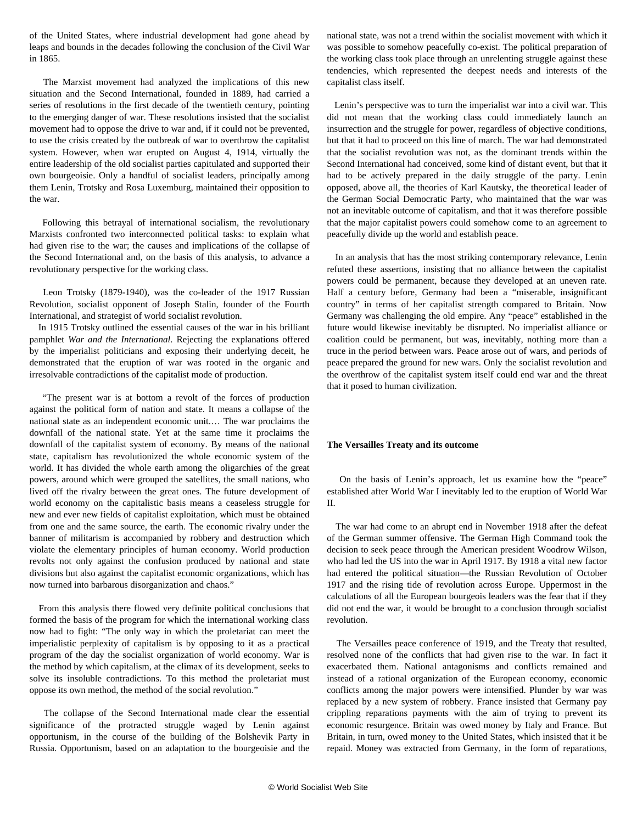<span id="page-2-0"></span>of the United States, where industrial development had gone ahead by leaps and bounds in the decades following the conclusion of the Civil War in 1865.

 The Marxist movement had analyzed the implications of this new situation and the Second International, founded in 1889, had carried a series of resolutions in the first decade of the twentieth century, pointing to the emerging danger of war. These resolutions insisted that the socialist movement had to oppose the drive to war and, if it could not be prevented, to use the crisis created by the outbreak of war to overthrow the capitalist system. However, when war erupted on August 4, 1914, virtually the entire leadership of the old socialist parties capitulated and supported their own bourgeoisie. Only a handful of socialist leaders, principally among them Lenin, Trotsky and Rosa Luxemburg, maintained their opposition to the war.

 Following this betrayal of international socialism, the revolutionary Marxists confronted two interconnected political tasks: to explain what had given rise to the war; the causes and implications of the collapse of the Second International and, on the basis of this analysis, to advance a revolutionary perspective for the working class.

 Leon Trotsky (1879-1940), was the co-leader of the 1917 Russian Revolution, socialist opponent of Joseph Stalin, founder of the Fourth International, and strategist of world socialist revolution.

 In 1915 Trotsky outlined the essential causes of the war in his brilliant pamphlet *War and the International*. Rejecting the explanations offered by the imperialist politicians and exposing their underlying deceit, he demonstrated that the eruption of war was rooted in the organic and irresolvable contradictions of the capitalist mode of production.

 "The present war is at bottom a revolt of the forces of production against the political form of nation and state. It means a collapse of the national state as an independent economic unit.… The war proclaims the downfall of the national state. Yet at the same time it proclaims the downfall of the capitalist system of economy. By means of the national state, capitalism has revolutionized the whole economic system of the world. It has divided the whole earth among the oligarchies of the great powers, around which were grouped the satellites, the small nations, who lived off the rivalry between the great ones. The future development of world economy on the capitalistic basis means a ceaseless struggle for new and ever new fields of capitalist exploitation, which must be obtained from one and the same source, the earth. The economic rivalry under the banner of militarism is accompanied by robbery and destruction which violate the elementary principles of human economy. World production revolts not only against the confusion produced by national and state divisions but also against the capitalist economic organizations, which has now turned into barbarous disorganization and chaos."

 From this analysis there flowed very definite political conclusions that formed the basis of the program for which the international working class now had to fight: "The only way in which the proletariat can meet the imperialistic perplexity of capitalism is by opposing to it as a practical program of the day the socialist organization of world economy. War is the method by which capitalism, at the climax of its development, seeks to solve its insoluble contradictions. To this method the proletariat must oppose its own method, the method of the social revolution."

 The collapse of the Second International made clear the essential significance of the protracted struggle waged by Lenin against opportunism, in the course of the building of the Bolshevik Party in Russia. Opportunism, based on an adaptation to the bourgeoisie and the national state, was not a trend within the socialist movement with which it was possible to somehow peacefully co-exist. The political preparation of the working class took place through an unrelenting struggle against these tendencies, which represented the deepest needs and interests of the capitalist class itself.

 Lenin's perspective was to turn the imperialist war into a civil war. This did not mean that the working class could immediately launch an insurrection and the struggle for power, regardless of objective conditions, but that it had to proceed on this line of march. The war had demonstrated that the socialist revolution was not, as the dominant trends within the Second International had conceived, some kind of distant event, but that it had to be actively prepared in the daily struggle of the party. Lenin opposed, above all, the theories of Karl Kautsky, the theoretical leader of the German Social Democratic Party, who maintained that the war was not an inevitable outcome of capitalism, and that it was therefore possible that the major capitalist powers could somehow come to an agreement to peacefully divide up the world and establish peace.

 In an analysis that has the most striking contemporary relevance, Lenin refuted these assertions, insisting that no alliance between the capitalist powers could be permanent, because they developed at an uneven rate. Half a century before, Germany had been a "miserable, insignificant country" in terms of her capitalist strength compared to Britain. Now Germany was challenging the old empire. Any "peace" established in the future would likewise inevitably be disrupted. No imperialist alliance or coalition could be permanent, but was, inevitably, nothing more than a truce in the period between wars. Peace arose out of wars, and periods of peace prepared the ground for new wars. Only the socialist revolution and the overthrow of the capitalist system itself could end war and the threat that it posed to human civilization.

## **The Versailles Treaty and its outcome**

 On the basis of Lenin's approach, let us examine how the "peace" established after World War I inevitably led to the eruption of World War II.

 The war had come to an abrupt end in November 1918 after the defeat of the German summer offensive. The German High Command took the decision to seek peace through the American president Woodrow Wilson, who had led the US into the war in April 1917. By 1918 a vital new factor had entered the political situation—the Russian Revolution of October 1917 and the rising tide of revolution across Europe. Uppermost in the calculations of all the European bourgeois leaders was the fear that if they did not end the war, it would be brought to a conclusion through socialist revolution.

 The Versailles peace conference of 1919, and the Treaty that resulted, resolved none of the conflicts that had given rise to the war. In fact it exacerbated them. National antagonisms and conflicts remained and instead of a rational organization of the European economy, economic conflicts among the major powers were intensified. Plunder by war was replaced by a new system of robbery. France insisted that Germany pay crippling reparations payments with the aim of trying to prevent its economic resurgence. Britain was owed money by Italy and France. But Britain, in turn, owed money to the United States, which insisted that it be repaid. Money was extracted from Germany, in the form of reparations,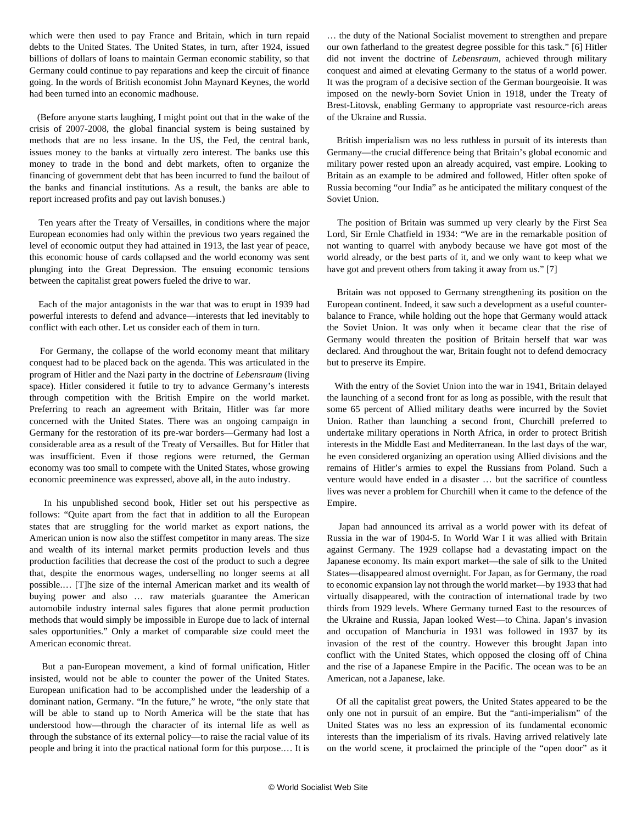<span id="page-3-0"></span>which were then used to pay France and Britain, which in turn repaid debts to the United States. The United States, in turn, after 1924, issued billions of dollars of loans to maintain German economic stability, so that Germany could continue to pay reparations and keep the circuit of finance going. In the words of British economist John Maynard Keynes, the world had been turned into an economic madhouse.

 (Before anyone starts laughing, I might point out that in the wake of the crisis of 2007-2008, the global financial system is being sustained by methods that are no less insane. In the US, the Fed, the central bank, issues money to the banks at virtually zero interest. The banks use this money to trade in the bond and debt markets, often to organize the financing of government debt that has been incurred to fund the bailout of the banks and financial institutions. As a result, the banks are able to report increased profits and pay out lavish bonuses.)

 Ten years after the Treaty of Versailles, in conditions where the major European economies had only within the previous two years regained the level of economic output they had attained in 1913, the last year of peace, this economic house of cards collapsed and the world economy was sent plunging into the Great Depression. The ensuing economic tensions between the capitalist great powers fueled the drive to war.

 Each of the major antagonists in the war that was to erupt in 1939 had powerful interests to defend and advance—interests that led inevitably to conflict with each other. Let us consider each of them in turn.

 For Germany, the collapse of the world economy meant that military conquest had to be placed back on the agenda. This was articulated in the program of Hitler and the Nazi party in the doctrine of *Lebensraum* (living space). Hitler considered it futile to try to advance Germany's interests through competition with the British Empire on the world market. Preferring to reach an agreement with Britain, Hitler was far more concerned with the United States. There was an ongoing campaign in Germany for the restoration of its pre-war borders—Germany had lost a considerable area as a result of the Treaty of Versailles. But for Hitler that was insufficient. Even if those regions were returned, the German economy was too small to compete with the United States, whose growing economic preeminence was expressed, above all, in the auto industry.

 In his unpublished second book, Hitler set out his perspective as follows: "Quite apart from the fact that in addition to all the European states that are struggling for the world market as export nations, the American union is now also the stiffest competitor in many areas. The size and wealth of its internal market permits production levels and thus production facilities that decrease the cost of the product to such a degree that, despite the enormous wages, underselling no longer seems at all possible.… [T]he size of the internal American market and its wealth of buying power and also … raw materials guarantee the American automobile industry internal sales figures that alone permit production methods that would simply be impossible in Europe due to lack of internal sales opportunities." Only a market of comparable size could meet the American economic threat.

 But a pan-European movement, a kind of formal unification, Hitler insisted, would not be able to counter the power of the United States. European unification had to be accomplished under the leadership of a dominant nation, Germany. "In the future," he wrote, "the only state that will be able to stand up to North America will be the state that has understood how—through the character of its internal life as well as through the substance of its external policy—to raise the racial value of its people and bring it into the practical national form for this purpose.… It is

… the duty of the National Socialist movement to strengthen and prepare our own fatherland to the greatest degree possible for this task." [[6](#page-5-0)] Hitler did not invent the doctrine of *Lebensraum*, achieved through military conquest and aimed at elevating Germany to the status of a world power. It was the program of a decisive section of the German bourgeoisie. It was imposed on the newly-born Soviet Union in 1918, under the Treaty of Brest-Litovsk, enabling Germany to appropriate vast resource-rich areas of the Ukraine and Russia.

 British imperialism was no less ruthless in pursuit of its interests than Germany—the crucial difference being that Britain's global economic and military power rested upon an already acquired, vast empire. Looking to Britain as an example to be admired and followed, Hitler often spoke of Russia becoming "our India" as he anticipated the military conquest of the Soviet Union.

 The position of Britain was summed up very clearly by the First Sea Lord, Sir Ernle Chatfield in 1934: "We are in the remarkable position of not wanting to quarrel with anybody because we have got most of the world already, or the best parts of it, and we only want to keep what we have got and prevent others from taking it away from us." [\[7\]](#page-6-0)

 Britain was not opposed to Germany strengthening its position on the European continent. Indeed, it saw such a development as a useful counterbalance to France, while holding out the hope that Germany would attack the Soviet Union. It was only when it became clear that the rise of Germany would threaten the position of Britain herself that war was declared. And throughout the war, Britain fought not to defend democracy but to preserve its Empire.

 With the entry of the Soviet Union into the war in 1941, Britain delayed the launching of a second front for as long as possible, with the result that some 65 percent of Allied military deaths were incurred by the Soviet Union. Rather than launching a second front, Churchill preferred to undertake military operations in North Africa, in order to protect British interests in the Middle East and Mediterranean. In the last days of the war, he even considered organizing an operation using Allied divisions and the remains of Hitler's armies to expel the Russians from Poland. Such a venture would have ended in a disaster … but the sacrifice of countless lives was never a problem for Churchill when it came to the defence of the Empire.

 Japan had announced its arrival as a world power with its defeat of Russia in the war of 1904-5. In World War I it was allied with Britain against Germany. The 1929 collapse had a devastating impact on the Japanese economy. Its main export market—the sale of silk to the United States—disappeared almost overnight. For Japan, as for Germany, the road to economic expansion lay not through the world market—by 1933 that had virtually disappeared, with the contraction of international trade by two thirds from 1929 levels. Where Germany turned East to the resources of the Ukraine and Russia, Japan looked West—to China. Japan's invasion and occupation of Manchuria in 1931 was followed in 1937 by its invasion of the rest of the country. However this brought Japan into conflict with the United States, which opposed the closing off of China and the rise of a Japanese Empire in the Pacific. The ocean was to be an American, not a Japanese, lake.

 Of all the capitalist great powers, the United States appeared to be the only one not in pursuit of an empire. But the "anti-imperialism" of the United States was no less an expression of its fundamental economic interests than the imperialism of its rivals. Having arrived relatively late on the world scene, it proclaimed the principle of the "open door" as it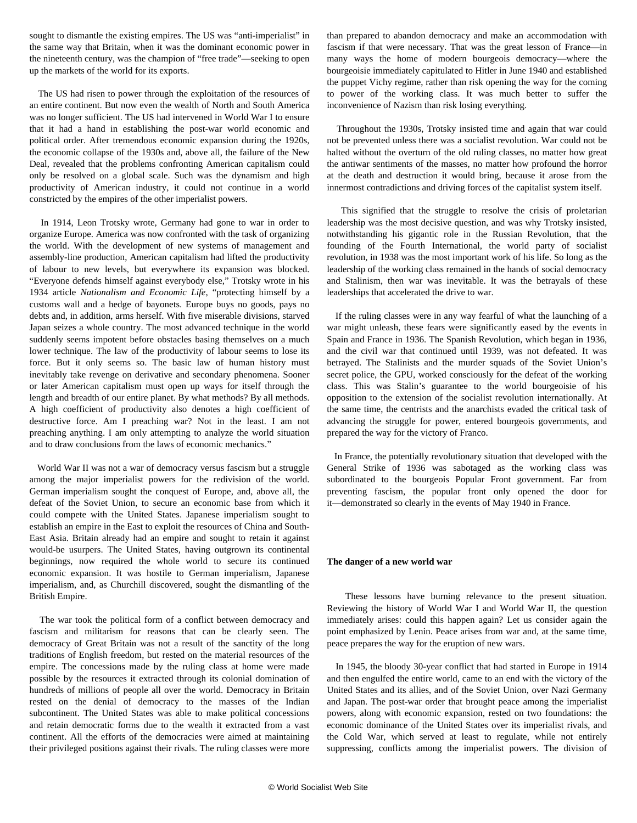<span id="page-4-0"></span>sought to dismantle the existing empires. The US was "anti-imperialist" in the same way that Britain, when it was the dominant economic power in the nineteenth century, was the champion of "free trade"—seeking to open up the markets of the world for its exports.

 The US had risen to power through the exploitation of the resources of an entire continent. But now even the wealth of North and South America was no longer sufficient. The US had intervened in World War I to ensure that it had a hand in establishing the post-war world economic and political order. After tremendous economic expansion during the 1920s, the economic collapse of the 1930s and, above all, the failure of the New Deal, revealed that the problems confronting American capitalism could only be resolved on a global scale. Such was the dynamism and high productivity of American industry, it could not continue in a world constricted by the empires of the other imperialist powers.

 In 1914, Leon Trotsky wrote, Germany had gone to war in order to organize Europe. America was now confronted with the task of organizing the world. With the development of new systems of management and assembly-line production, American capitalism had lifted the productivity of labour to new levels, but everywhere its expansion was blocked. "Everyone defends himself against everybody else," Trotsky wrote in his 1934 article *Nationalism and Economic Life*, "protecting himself by a customs wall and a hedge of bayonets. Europe buys no goods, pays no debts and, in addition, arms herself. With five miserable divisions, starved Japan seizes a whole country. The most advanced technique in the world suddenly seems impotent before obstacles basing themselves on a much lower technique. The law of the productivity of labour seems to lose its force. But it only seems so. The basic law of human history must inevitably take revenge on derivative and secondary phenomena. Sooner or later American capitalism must open up ways for itself through the length and breadth of our entire planet. By what methods? By all methods. A high coefficient of productivity also denotes a high coefficient of destructive force. Am I preaching war? Not in the least. I am not preaching anything. I am only attempting to analyze the world situation and to draw conclusions from the laws of economic mechanics."

 World War II was not a war of democracy versus fascism but a struggle among the major imperialist powers for the redivision of the world. German imperialism sought the conquest of Europe, and, above all, the defeat of the Soviet Union, to secure an economic base from which it could compete with the United States. Japanese imperialism sought to establish an empire in the East to exploit the resources of China and South-East Asia. Britain already had an empire and sought to retain it against would-be usurpers. The United States, having outgrown its continental beginnings, now required the whole world to secure its continued economic expansion. It was hostile to German imperialism, Japanese imperialism, and, as Churchill discovered, sought the dismantling of the British Empire.

 The war took the political form of a conflict between democracy and fascism and militarism for reasons that can be clearly seen. The democracy of Great Britain was not a result of the sanctity of the long traditions of English freedom, but rested on the material resources of the empire. The concessions made by the ruling class at home were made possible by the resources it extracted through its colonial domination of hundreds of millions of people all over the world. Democracy in Britain rested on the denial of democracy to the masses of the Indian subcontinent. The United States was able to make political concessions and retain democratic forms due to the wealth it extracted from a vast continent. All the efforts of the democracies were aimed at maintaining their privileged positions against their rivals. The ruling classes were more than prepared to abandon democracy and make an accommodation with fascism if that were necessary. That was the great lesson of France—in many ways the home of modern bourgeois democracy—where the bourgeoisie immediately capitulated to Hitler in June 1940 and established the puppet Vichy regime, rather than risk opening the way for the coming to power of the working class. It was much better to suffer the inconvenience of Nazism than risk losing everything.

 Throughout the 1930s, Trotsky insisted time and again that war could not be prevented unless there was a socialist revolution. War could not be halted without the overturn of the old ruling classes, no matter how great the antiwar sentiments of the masses, no matter how profound the horror at the death and destruction it would bring, because it arose from the innermost contradictions and driving forces of the capitalist system itself.

 This signified that the struggle to resolve the crisis of proletarian leadership was the most decisive question, and was why Trotsky insisted, notwithstanding his gigantic role in the Russian Revolution, that the founding of the Fourth International, the world party of socialist revolution, in 1938 was the most important work of his life. So long as the leadership of the working class remained in the hands of social democracy and Stalinism, then war was inevitable. It was the betrayals of these leaderships that accelerated the drive to war.

 If the ruling classes were in any way fearful of what the launching of a war might unleash, these fears were significantly eased by the events in Spain and France in 1936. The Spanish Revolution, which began in 1936, and the civil war that continued until 1939, was not defeated. It was betrayed. The Stalinists and the murder squads of the Soviet Union's secret police, the GPU, worked consciously for the defeat of the working class. This was Stalin's guarantee to the world bourgeoisie of his opposition to the extension of the socialist revolution internationally. At the same time, the centrists and the anarchists evaded the critical task of advancing the struggle for power, entered bourgeois governments, and prepared the way for the victory of Franco.

 In France, the potentially revolutionary situation that developed with the General Strike of 1936 was sabotaged as the working class was subordinated to the bourgeois Popular Front government. Far from preventing fascism, the popular front only opened the door for it—demonstrated so clearly in the events of May 1940 in France.

## **The danger of a new world war**

 These lessons have burning relevance to the present situation. Reviewing the history of World War I and World War II, the question immediately arises: could this happen again? Let us consider again the point emphasized by Lenin. Peace arises from war and, at the same time, peace prepares the way for the eruption of new wars.

 In 1945, the bloody 30-year conflict that had started in Europe in 1914 and then engulfed the entire world, came to an end with the victory of the United States and its allies, and of the Soviet Union, over Nazi Germany and Japan. The post-war order that brought peace among the imperialist powers, along with economic expansion, rested on two foundations: the economic dominance of the United States over its imperialist rivals, and the Cold War, which served at least to regulate, while not entirely suppressing, conflicts among the imperialist powers. The division of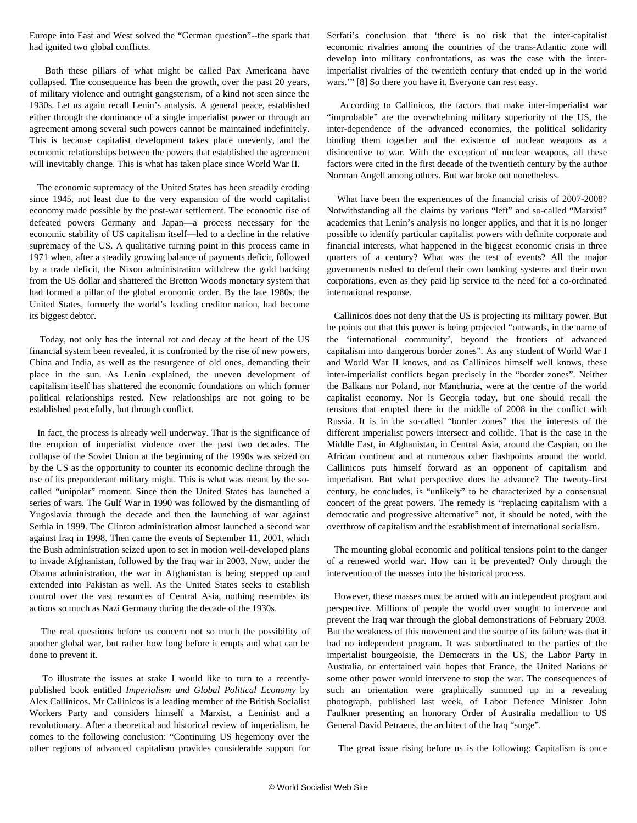<span id="page-5-0"></span>Europe into East and West solved the "German question"--the spark that had ignited two global conflicts.

 Both these pillars of what might be called Pax Americana have collapsed. The consequence has been the growth, over the past 20 years, of military violence and outright gangsterism, of a kind not seen since the 1930s. Let us again recall Lenin's analysis. A general peace, established either through the dominance of a single imperialist power or through an agreement among several such powers cannot be maintained indefinitely. This is because capitalist development takes place unevenly, and the economic relationships between the powers that established the agreement will inevitably change. This is what has taken place since World War II.

 The economic supremacy of the United States has been steadily eroding since 1945, not least due to the very expansion of the world capitalist economy made possible by the post-war settlement. The economic rise of defeated powers Germany and Japan—a process necessary for the economic stability of US capitalism itself—led to a decline in the relative supremacy of the US. A qualitative turning point in this process came in 1971 when, after a steadily growing balance of payments deficit, followed by a trade deficit, the Nixon administration withdrew the gold backing from the US dollar and shattered the Bretton Woods monetary system that had formed a pillar of the global economic order. By the late 1980s, the United States, formerly the world's leading creditor nation, had become its biggest debtor.

 Today, not only has the internal rot and decay at the heart of the US financial system been revealed, it is confronted by the rise of new powers, China and India, as well as the resurgence of old ones, demanding their place in the sun. As Lenin explained, the uneven development of capitalism itself has shattered the economic foundations on which former political relationships rested. New relationships are not going to be established peacefully, but through conflict.

 In fact, the process is already well underway. That is the significance of the eruption of imperialist violence over the past two decades. The collapse of the Soviet Union at the beginning of the 1990s was seized on by the US as the opportunity to counter its economic decline through the use of its preponderant military might. This is what was meant by the socalled "unipolar" moment. Since then the United States has launched a series of wars. The Gulf War in 1990 was followed by the dismantling of Yugoslavia through the decade and then the launching of war against Serbia in 1999. The Clinton administration almost launched a second war against Iraq in 1998. Then came the events of September 11, 2001, which the Bush administration seized upon to set in motion well-developed plans to invade Afghanistan, followed by the Iraq war in 2003. Now, under the Obama administration, the war in Afghanistan is being stepped up and extended into Pakistan as well. As the United States seeks to establish control over the vast resources of Central Asia, nothing resembles its actions so much as Nazi Germany during the decade of the 1930s.

 The real questions before us concern not so much the possibility of another global war, but rather how long before it erupts and what can be done to prevent it.

 To illustrate the issues at stake I would like to turn to a recentlypublished book entitled *Imperialism and Global Political Economy* by Alex Callinicos. Mr Callinicos is a leading member of the British Socialist Workers Party and considers himself a Marxist, a Leninist and a revolutionary. After a theoretical and historical review of imperialism, he comes to the following conclusion: "Continuing US hegemony over the other regions of advanced capitalism provides considerable support for Serfati's conclusion that 'there is no risk that the inter-capitalist economic rivalries among the countries of the trans-Atlantic zone will develop into military confrontations, as was the case with the interimperialist rivalries of the twentieth century that ended up in the world wars.'" [8] So there you have it. Everyone can rest easy.

 According to Callinicos, the factors that make inter-imperialist war "improbable" are the overwhelming military superiority of the US, the inter-dependence of the advanced economies, the political solidarity binding them together and the existence of nuclear weapons as a disincentive to war. With the exception of nuclear weapons, all these factors were cited in the first decade of the twentieth century by the author Norman Angell among others. But war broke out nonetheless.

 What have been the experiences of the financial crisis of 2007-2008? Notwithstanding all the claims by various "left" and so-called "Marxist" academics that Lenin's analysis no longer applies, and that it is no longer possible to identify particular capitalist powers with definite corporate and financial interests, what happened in the biggest economic crisis in three quarters of a century? What was the test of events? All the major governments rushed to defend their own banking systems and their own corporations, even as they paid lip service to the need for a co-ordinated international response.

 Callinicos does not deny that the US is projecting its military power. But he points out that this power is being projected "outwards, in the name of the 'international community', beyond the frontiers of advanced capitalism into dangerous border zones". As any student of World War I and World War II knows, and as Callinicos himself well knows, these inter-imperialist conflicts began precisely in the "border zones". Neither the Balkans nor Poland, nor Manchuria, were at the centre of the world capitalist economy. Nor is Georgia today, but one should recall the tensions that erupted there in the middle of 2008 in the conflict with Russia. It is in the so-called "border zones" that the interests of the different imperialist powers intersect and collide. That is the case in the Middle East, in Afghanistan, in Central Asia, around the Caspian, on the African continent and at numerous other flashpoints around the world. Callinicos puts himself forward as an opponent of capitalism and imperialism. But what perspective does he advance? The twenty-first century, he concludes, is "unlikely" to be characterized by a consensual concert of the great powers. The remedy is "replacing capitalism with a democratic and progressive alternative" not, it should be noted, with the overthrow of capitalism and the establishment of international socialism.

 The mounting global economic and political tensions point to the danger of a renewed world war. How can it be prevented? Only through the intervention of the masses into the historical process.

 However, these masses must be armed with an independent program and perspective. Millions of people the world over sought to intervene and prevent the Iraq war through the global demonstrations of February 2003. But the weakness of this movement and the source of its failure was that it had no independent program. It was subordinated to the parties of the imperialist bourgeoisie, the Democrats in the US, the Labor Party in Australia, or entertained vain hopes that France, the United Nations or some other power would intervene to stop the war. The consequences of such an orientation were graphically summed up in a revealing photograph, published last week, of Labor Defence Minister John Faulkner presenting an honorary Order of Australia medallion to US General David Petraeus, the architect of the Iraq "surge".

The great issue rising before us is the following: Capitalism is once